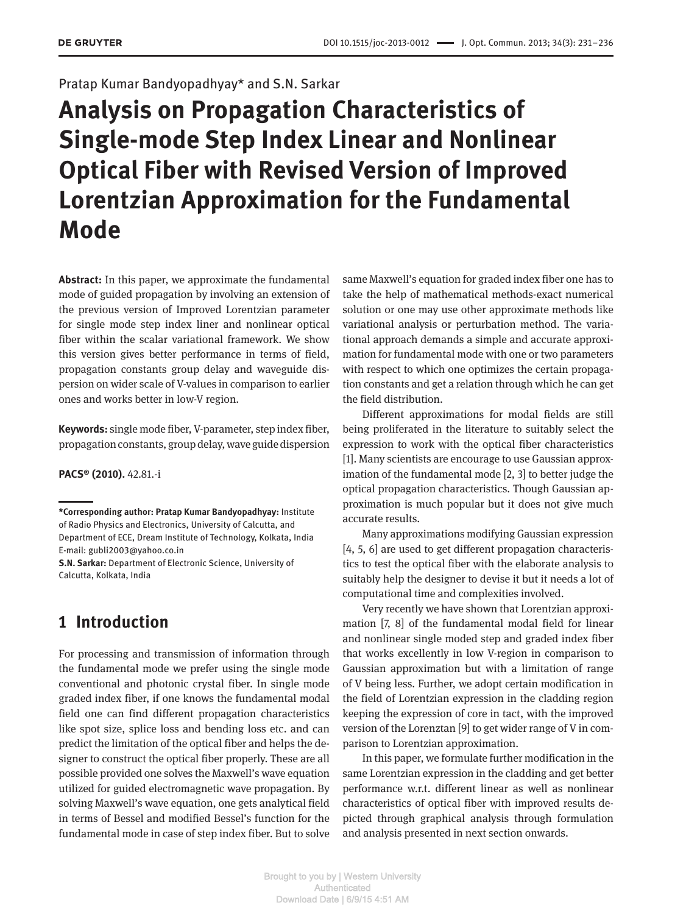#### Pratap Kumar Bandyopadhyay\* and S.N. Sarkar

# **Analysis on Propagation Characteristics of Single-mode Step Index Linear and Nonlinear Optical Fiber with Revised Version of Improved Lorentzian Approximation for the Fundamental Mode**

**Abstract:** In this paper, we approximate the fundamental mode of guided propagation by involving an extension of the previous version of Improved Lorentzian parameter for single mode step index liner and nonlinear optical fiber within the scalar variational framework. We show this version gives better performance in terms of field, propagation constants group delay and waveguide dispersion on wider scale of V-values in comparison to earlier ones and works better in low-V region.

**Keywords:** single mode fiber, V-parameter, step index fiber, propagation constants, group delay, wave guide dispersion

**PACS® (2010).** 42.81.i

**S.N. Sarkar:** Department of Electronic Science, University of Calcutta, Kolkata, India

### **1 Introduction**

For processing and transmission of information through the fundamental mode we prefer using the single mode conventional and photonic crystal fiber. In single mode graded index fiber, if one knows the fundamental modal field one can find different propagation characteristics like spot size, splice loss and bending loss etc. and can predict the limitation of the optical fiber and helps the designer to construct the optical fiber properly. These are all possible provided one solves the Maxwell's wave equation utilized for guided electromagnetic wave propagation. By solving Maxwell's wave equation, one gets analytical field in terms of Bessel and modified Bessel's function for the fundamental mode in case of step index fiber. But to solve same Maxwell's equation for graded index fiber one has to take the help of mathematical methods-exact numerical solution or one may use other approximate methods like variational analysis or perturbation method. The variational approach demands a simple and accurate approximation for fundamental mode with one or two parameters with respect to which one optimizes the certain propagation constants and get a relation through which he can get the field distribution.

Different approximations for modal fields are still being proliferated in the literature to suitably select the expression to work with the optical fiber characteristics [1]. Many scientists are encourage to use Gaussian approximation of the fundamental mode [2, 3] to better judge the optical propagation characteristics. Though Gaussian approximation is much popular but it does not give much accurate results.

Many approximations modifying Gaussian expression [4, 5, 6] are used to get different propagation characteristics to test the optical fiber with the elaborate analysis to suitably help the designer to devise it but it needs a lot of computational time and complexities involved.

Very recently we have shown that Lorentzian approximation [7, 8] of the fundamental modal field for linear and nonlinear single moded step and graded index fiber that works excellently in low V-region in comparison to Gaussian approximation but with a limitation of range of V being less. Further, we adopt certain modification in the field of Lorentzian expression in the cladding region keeping the expression of core in tact, with the improved version of the Lorenztan [9] to get wider range of V in comparison to Lorentzian approximation.

In this paper, we formulate further modification in the same Lorentzian expression in the cladding and get better performance w.r.t. different linear as well as nonlinear characteristics of optical fiber with improved results depicted through graphical analysis through formulation and analysis presented in next section onwards.

**<sup>\*</sup>Corresponding author: Pratap Kumar Bandyopadhyay:** Institute of Radio Physics and Electronics, University of Calcutta, and Department of ECE, Dream Institute of Technology, Kolkata, India E-mail: gubli2003@yahoo.co.in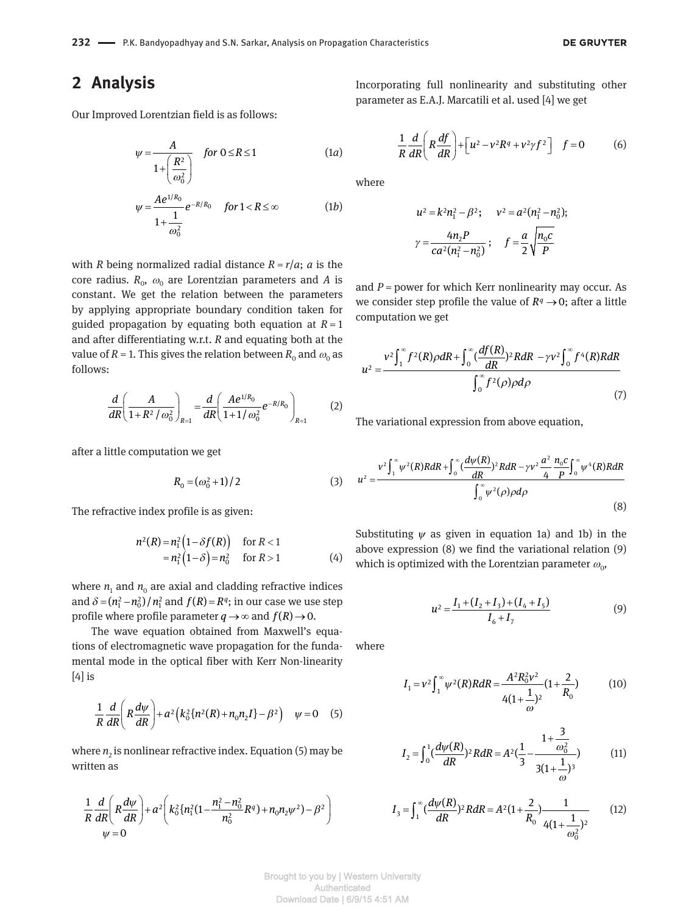#### **2 Analysis**

Our Improved Lorentzian field is as follows:

$$
\psi = \frac{A}{1 + \left(\frac{R^2}{\omega_0^2}\right)} \quad \text{for } 0 \le R \le 1 \tag{1a}
$$

$$
\psi = \frac{Ae^{1/R_0}}{1 + \frac{1}{\omega_0^2}} e^{-R/R_0} \quad \text{for } 1 < R \leq \infty \tag{1b}
$$

with *R* being normalized radial distance  $R = r/a$ ; *a* is the  $\cos$  radius.  $R_{0}$ ,  $\omega_{0}$  are Lorentzian parameters and  $A$  is constant. We get the relation between the parameters by applying appropriate boundary condition taken for guided propagation by equating both equation at  $R = 1$ and after differentiating w.r.t. *R* and equating both at the value of  $R$  = 1. This gives the relation between  $R_{\rm o}$  and  $\omega_{\rm o}$  as follows:

$$
\frac{d}{dR} \left( \frac{A}{1 + R^2 / \omega_0^2} \right)_{R=1} = \frac{d}{dR} \left( \frac{A e^{1/R_0}}{1 + 1 / \omega_0^2} e^{-R/R_0} \right)_{R=1}
$$
 (2)

after a little computation we get

$$
R_0 = (\omega_0^2 + 1)/2 \tag{3}
$$

The refractive index profile is as given:

$$
n^{2}(R) = n_{1}^{2} (1 - \delta f(R)) \quad \text{for } R < 1
$$
  
=  $n_{1}^{2} (1 - \delta) = n_{0}^{2} \quad \text{for } R > 1$  (4)

where  $n_{\rm 1}$  and  $n_{\rm 0}$  are axial and cladding refractive indices and  $\delta = (n_1^2 - n_0^2)/n_1^2$  and  $f(R) = R^q$ ; in our case we use step profile where profile parameter  $q \rightarrow \infty$  and  $f(R) \rightarrow 0$ .

The wave equation obtained from Maxwell's equations of electromagnetic wave propagation for the fundamental mode in the optical fiber with Kerr Non-linearity [4] is

$$
\frac{1}{R}\frac{d}{dR}\left(R\frac{d\psi}{dR}\right)+a^2\left(k_0^2\left\{n^2(R)+n_0n_2I\right\}-\beta^2\right)\quad\psi=0\quad(5)
$$

where  $n_2$  is nonlinear refractive index. Equation (5) may be written as

$$
\frac{1}{R}\frac{d}{dR}\left(R\frac{d\psi}{dR}\right)+a^2\left(k_0^2\left\{n_1^2\left(1-\frac{n_1^2-n_0^2}{n_0^2}R^q\right)+n_0n_2\psi^2\right)-\beta^2\right)
$$
\n
$$
\psi=0
$$

Incorporating full nonlinearity and substituting other parameter as E.A.J. Marcatili et al. used [4] we get

$$
\frac{1}{R}\frac{d}{dR}\left(R\frac{df}{dR}\right) + \left[u^2 - v^2R^q + v^2\gamma f^2\right] \quad f = 0 \tag{6}
$$

where

$$
u^{2} = k^{2}n_{1}^{2} - \beta^{2}; \quad v^{2} = a^{2}(n_{1}^{2} - n_{0}^{2});
$$
  

$$
\gamma = \frac{4n_{2}P}{ca^{2}(n_{1}^{2} - n_{0}^{2})}; \quad f = \frac{a}{2}\sqrt{\frac{n_{0}c}{P}}
$$

and  $P =$  power for which Kerr nonlinearity may occur. As we consider step profile the value of  $R<sup>q</sup> \rightarrow 0$ ; after a little computation we get

$$
u^{2} = \frac{v^{2} \int_{1}^{\infty} f^{2}(R) \rho dR + \int_{0}^{\infty} (\frac{df(R)}{dR})^{2} R dR - \gamma v^{2} \int_{0}^{\infty} f^{4}(R) R dR}{\int_{0}^{\infty} f^{2}(\rho) \rho d\rho}
$$
(7)

The variational expression from above equation,

$$
u^{2} = \frac{v^{2} \int_{1}^{\infty} \psi^{2}(R)R dR + \int_{0}^{\infty} \left(\frac{d\psi(R)}{dR}\right)^{2} R dR - \gamma v^{2} \frac{a^{2}}{4} \frac{n_{0}c}{P} \int_{0}^{\infty} \psi^{4}(R)R dR}{\int_{0}^{\infty} \psi^{2}(\rho) \rho d\rho}
$$
(8)

Substituting  $\psi$  as given in equation 1a) and 1b) in the above expression (8) we find the variational relation (9) which is optimized with the Lorentzian parameter  $\omega_{0}$ ,

$$
u^{2} = \frac{I_{1} + (I_{2} + I_{3}) + (I_{4} + I_{5})}{I_{6} + I_{7}}
$$
(9)

where

$$
I_1 = v^2 \int_1^{\infty} \psi^2(R) R dR = \frac{A^2 R_0^2 v^2}{4(1 + \frac{1}{\omega})^2} (1 + \frac{2}{R_0})
$$
 (10)

$$
I_2 = \int_0^1 \left(\frac{d\psi(R)}{dR}\right)^2 R dR = A^2 \left(\frac{1}{3} - \frac{1 + \frac{3}{\omega_0^2}}{3(1 + \frac{1}{\omega})^3}\right) \tag{11}
$$

$$
I_3 = \int_1^\infty \left(\frac{d\psi(R)}{dR}\right)^2 R dR = A^2 \left(1 + \frac{2}{R_0}\right) \frac{1}{4\left(1 + \frac{1}{\omega_0^2}\right)^2} \tag{12}
$$

Brought to you by | Western University Authenticated Download Date | 6/9/15 4:51 AM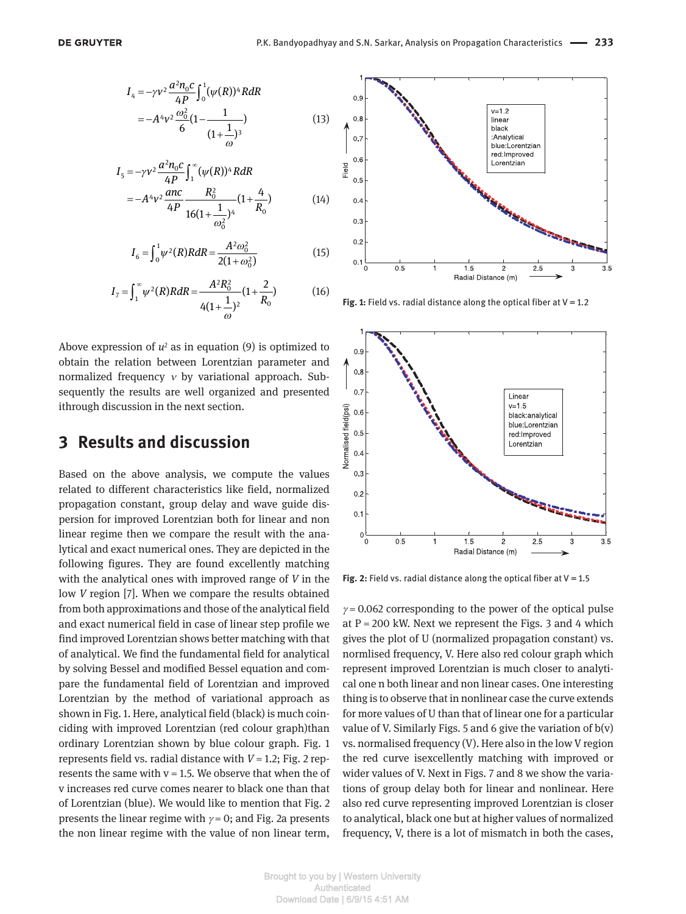$$
I_4 = -\gamma v^2 \frac{a^2 n_0 c}{4P} \int_0^1 (\psi(R))^4 R dR
$$
  
=  $-A^4 v^2 \frac{\omega_0^2}{6} (1 - \frac{1}{(1 + \frac{1}{\omega})^3})$  (13)

$$
I_5 = -\gamma v^2 \frac{a^2 n_0 c}{4P} \int_1^{\infty} (\psi(R))^4 R dR
$$
  
=  $-A^4 v^2 \frac{anc}{4P} \frac{R_0^2}{16(1 + \frac{1}{\omega_0^2})^4} (1 + \frac{4}{R_0})$  (14)

$$
I_6 = \int_0^1 \psi^2(R) R dR = \frac{A^2 \omega_0^2}{2(1 + \omega_0^2)}
$$
(15)

$$
I_7 = \int_1^\infty \psi^2(R) R dR = \frac{A^2 R_0^2}{4(1 + \frac{1}{\omega})^2} (1 + \frac{2}{R_0})
$$
 (16)

Above expression of  $u^2$  as in equation  $(9)$  is optimized to obtain the relation between Lorentzian parameter and normalized frequency *ν* by variational approach. Subsequently the results are well organized and presented ithrough discussion in the next section.

#### **3 Results and discussion**

Based on the above analysis, we compute the values related to different characteristics like field, normalized propagation constant, group delay and wave guide dispersion for improved Lorentzian both for linear and non linear regime then we compare the result with the analytical and exact numerical ones. They are depicted in the following figures. They are found excellently matching with the analytical ones with improved range of *V* in the low *V* region [7]. When we compare the results obtained from both approximations and those of the analytical field and exact numerical field in case of linear step profile we find improved Lorentzian shows better matching with that of analytical. We find the fundamental field for analytical by solving Bessel and modified Bessel equation and compare the fundamental field of Lorentzian and improved Lorentzian by the method of variational approach as shown in Fig. 1. Here, analytical field (black) is much coinciding with improved Lorentzian (red colour graph)than ordinary Lorentzian shown by blue colour graph. Fig. 1 represents field vs. radial distance with *V* = 1.2; Fig. 2 represents the same with  $v = 1.5$ . We observe that when the of v increases red curve comes nearer to black one than that of Lorentzian (blue). We would like to mention that Fig. 2 presents the linear regime with  $\gamma = 0$ ; and Fig. 2a presents the non linear regime with the value of non linear term,



**Fig. 1:** Field vs. radial distance along the optical fiber at V = 1.2



**Fig. 2:** Field vs. radial distance along the optical fiber at V = 1.5

 $\gamma$  = 0.062 corresponding to the power of the optical pulse at  $P = 200$  kW. Next we represent the Figs. 3 and 4 which gives the plot of U (normalized propagation constant) vs. normlised frequency, V. Here also red colour graph which represent improved Lorentzian is much closer to analytical one n both linear and non linear cases. One interesting thing is to observe that in nonlinear case the curve extends for more values of U than that of linear one for a particular value of V. Similarly Figs. 5 and 6 give the variation of  $b(v)$ vs. normalised frequency (V). Here also in the low V region the red curve isexcellently matching with improved or wider values of V. Next in Figs. 7 and 8 we show the variations of group delay both for linear and nonlinear. Here also red curve representing improved Lorentzian is closer to analytical, black one but at higher values of normalized frequency, V, there is a lot of mismatch in both the cases,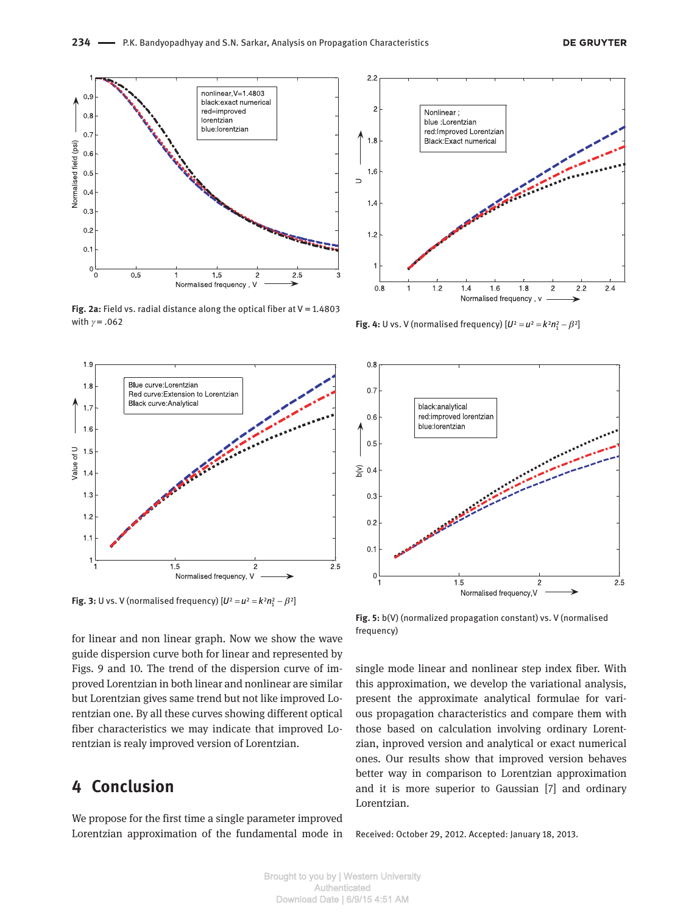

**Fig. 2a:** Field vs. radial distance along the optical fiber at V = 1.4803 with *γ* = .062



**Fig. 3:** U vs. V (normalised frequency)  $[U^2 = u^2 = k^2 n_1^2 - \beta^2]$ 

for linear and non linear graph. Now we show the wave guide dispersion curve both for linear and represented by Figs. 9 and 10. The trend of the dispersion curve of improved Lorentzian in both linear and nonlinear are similar but Lorentzian gives same trend but not like improved Lorentzian one. By all these curves showing different optical fiber characteristics we may indicate that improved Lorentzian is realy improved version of Lorentzian.

## **4 Conclusion**

We propose for the first time a single parameter improved Lorentzian approximation of the fundamental mode in



**Fig. 4:** U vs. V (normalised frequency)  $[U^2 = u^2 = k^2 n_1^2 - \beta^2]$ 



**Fig. 5:** b(V) (normalized propagation constant) vs. V (normalised frequency)

single mode linear and nonlinear step index fiber. With this approximation, we develop the variational analysis, present the approximate analytical formulae for various propagation characteristics and compare them with those based on calculation involving ordinary Lorentzian, inproved version and analytical or exact numerical ones. Our results show that improved version behaves better way in comparison to Lorentzian approximation and it is more superior to Gaussian [7] and ordinary Lorentzian.

Received: October 29, 2012. Accepted: January 18, 2013.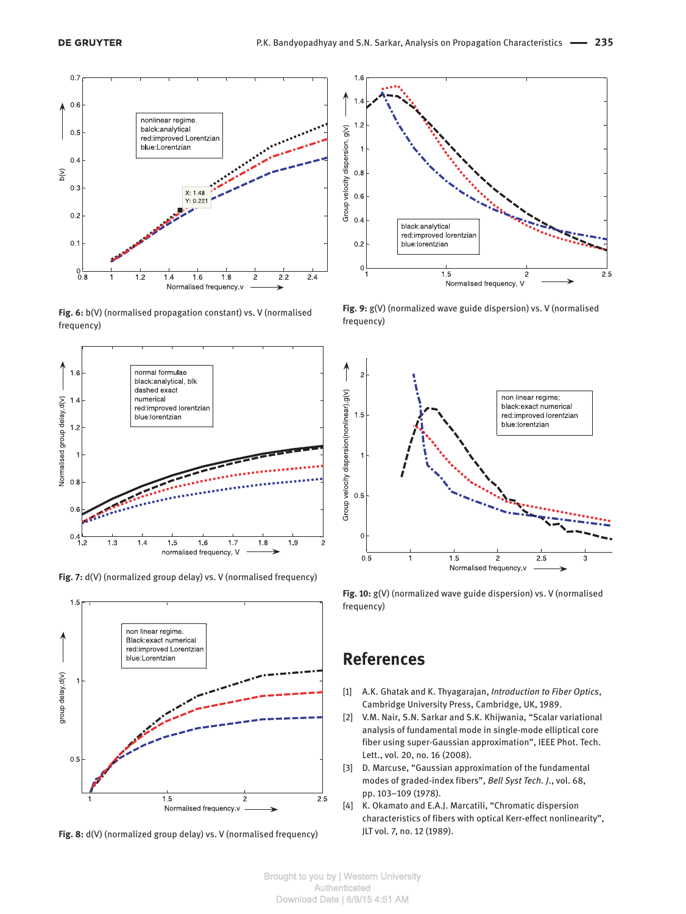

**Fig. 6:** b(V) (normalised propagation constant) vs. V (normalised frequency)



**Fig. 7:** d(V) (normalized group delay) vs. V (normalised frequency)



**Fig. 8:** d(V) (normalized group delay) vs. V (normalised frequency)



**Fig. 9:** g(V) (normalized wave guide dispersion) vs. V (normalised frequency)



**Fig. 10:** g(V) (normalized wave guide dispersion) vs. V (normalised frequency)

#### **References**

- [1] A.K. Ghatak and K. Thyagarajan, *Introduction to Fiber Optics*, Cambridge University Press, Cambridge, UK, 1989.
- [2] V.M. Nair, S.N. Sarkar and S.K. Khijwania, "Scalar variational analysis of fundamental mode in single-mode elliptical core fiber using super-Gaussian approximation", IEEE Phot. Tech. Lett., vol. 20, no. 16 (2008).
- [3] D. Marcuse, "Gaussian approximation of the fundamental modes of graded-index fibers", *Bell Syst Tech. J*., vol. 68, pp. 103–109 (1978).
- [4] K. Okamato and E.A.J. Marcatili, "Chromatic dispersion characteristics of fibers with optical Kerr-effect nonlinearity", JLT vol. 7, no. 12 (1989).